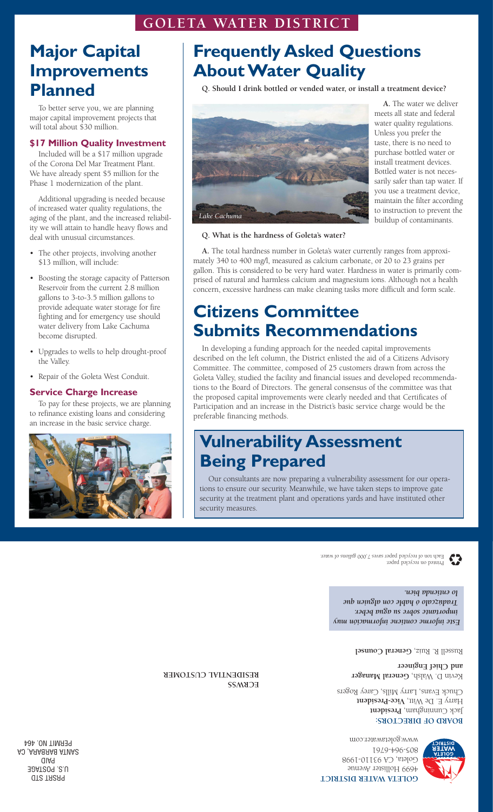### **GOLETA WATER DISTRICT**

### **Major Capital Improvements Planned**

To better serve you, we are planning major capital improvement projects that will total about \$30 million.

#### **\$17 Million Quality Investment**

Included will be a \$17 million upgrade of the Corona Del Mar Treatment Plant. We have already spent \$5 million for the Phase 1 modernization of the plant.

Additional upgrading is needed because of increased water quality regulations, the aging of the plant, and the increased reliability we will attain to handle heavy flows and deal with unusual circumstances.

- The other projects, involving another \$13 million, will include:
- Boosting the storage capacity of Patterson Reservoir from the current 2.8 million gallons to 3-to-3.5 million gallons to provide adequate water storage for fire fighting and for emergency use should water delivery from Lake Cachuma become disrupted.
- Upgrades to wells to help drought-proof the Valley.
- Repair of the Goleta West Conduit.

#### **Service Charge Increase**

To pay for these projects, we are planning to refinance existing loans and considering an increase in the basic service charge.



## **Frequently Asked Questions About Water Quality**

**Q. Should I drink bottled or vended water, or install a treatment device?**



**A.** The water we deliver meets all state and federal water quality regulations. Unless you prefer the taste, there is no need to purchase bottled water or install treatment devices. Bottled water is not necessarily safer than tap water. If you use a treatment device, maintain the filter according to instruction to prevent the buildup of contaminants.

**Q. What is the hardness of Goleta's water?**

**A.** The total hardness number in Goleta's water currently ranges from approximately 340 to 400 mg/l, measured as calcium carbonate, or 20 to 23 grains per gallon. This is considered to be very hard water. Hardness in water is primarily comprised of natural and harmless calcium and magnesium ions. Although not a health concern, excessive hardness can make cleaning tasks more difficult and form scale.

### **Citizens Committee Submits Recommendations**

In developing a funding approach for the needed capital improvements described on the left column, the District enlisted the aid of a Citizens Advisory Committee. The committee, composed of 25 customers drawn from across the Goleta Valley, studied the facility and financial issues and developed recommendations to the Board of Directors. The general consensus of the committee was that the proposed capital improvements were clearly needed and that Certificates of Participation and an increase in the District's basic service charge would be the preferable financing methods.

### **Vulnerability Assessment Being Prepared**

Our consultants are now preparing a vulnerability assessment for our operations to ensure our security. Meanwhile, we have taken steps to improve gate security at the treatment plant and operations yards and have instituted other security measures.



Printed on recycled paper. Each ton of recycled paper saves 7,000 gallons of water.

> *Este informe contiene información muy importante sobre su agua beber. radúzcalo ó hable con alguien que T lo entienda bien.*

> > Russell R. Ruiz, General Counsel

Kevin D. Walsh, **General Manager and Chief Engineer**

Jack Cunningham, President Harry E. De Witt, Vice-President Chuck Evans, Larry Mills, Carey Rogers

#### **BOARD OF DIRECTORS:**

4699 Hollister Avenue Goleta, CA 93110-1998 805-964-6761 www.goletawater.com

**ECRWSS RESIDENTIAL CUSTOMER**

PRSRT STD U.S. POSTAGE AID P SANTA BARBARA, CA PERMIT NO. 464

**GOLETA WATER DISTRICT**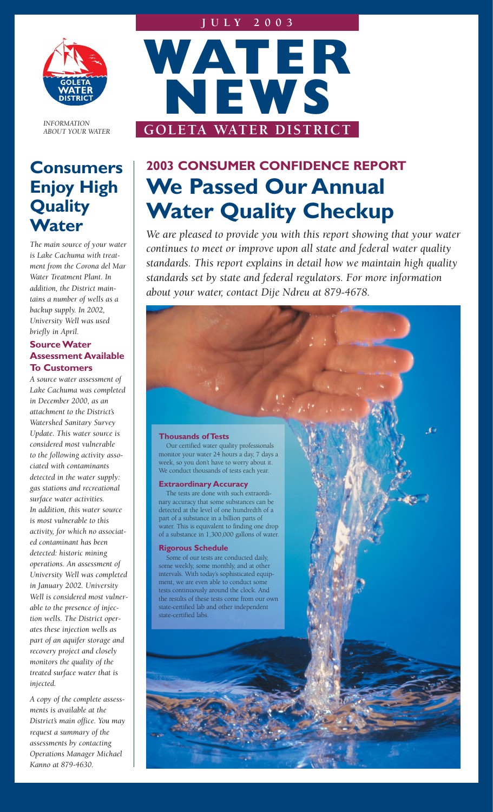

*INFORMATION ABOUT YOUR WATER*

### **Consumers Enjoy High Quality Water**

*The main source of your water is Lake Cachuma with treatment from the Corona del Mar Water Treatment Plant. In addition, the District maintains a number of wells as a backup supply. In 2002, University Well was used briefly in April.* 

#### **Source Water Assessment Available To Customers**

*A source water assessment of Lake Cachuma was completed in December 2000, as an attachment to the District's Watershed Sanitary Survey Update. This water source is considered most vulnerable to the following activity associated with contaminants detected in the water supply: gas stations and recreational surface water activities. In addition, this water source is most vulnerable to this activity, for which no associated contaminant has been detected: historic mining operations. An assessment of University Well was completed in January 2002. University Well is considered most vulnerable to the presence of injection wells. The District operates these injection wells as part of an aquifer storage and recovery project and closely monitors the quality of the treated surface water that is injected.*

*A copy of the complete assessments is available at the District's main office. You may request a summary of the assessments by contacting Operations Manager Michael Kanno at 879-4630.*



# **2003 CONSUMER CONFIDENCE REPORT We Passed Our Annual Water Quality Checkup**

*We are pleased to provide you with this report showing that your water continues to meet or improve upon all state and federal water quality standards. This report explains in detail how we maintain high quality standards set by state and federal regulators. For more information about your water, contact Dije Ndreu at 879-4678.*

#### **Thousands of Tests**

Our certified water quality professionals monitor your water 24 hours a day, 7 days a week, so you don't have to worry about it. We conduct thousands of tests each year.

#### **Extraordinary Accuracy**

The tests are done with such extraordinary accuracy that some substances can be detected at the level of one hundredth of a part of a substance in a billion parts of water. This is equivalent to finding one drop of a substance in 1,300,000 gallons of water.

#### **Rigorous Schedule**

Some of our tests are conducted daily, some weekly, some monthly, and at other intervals. With today's sophisticated equipment, we are even able to conduct some tests continuously around the clock. And the results of these tests come from our own state-certified lab and other independent state-certified labs.

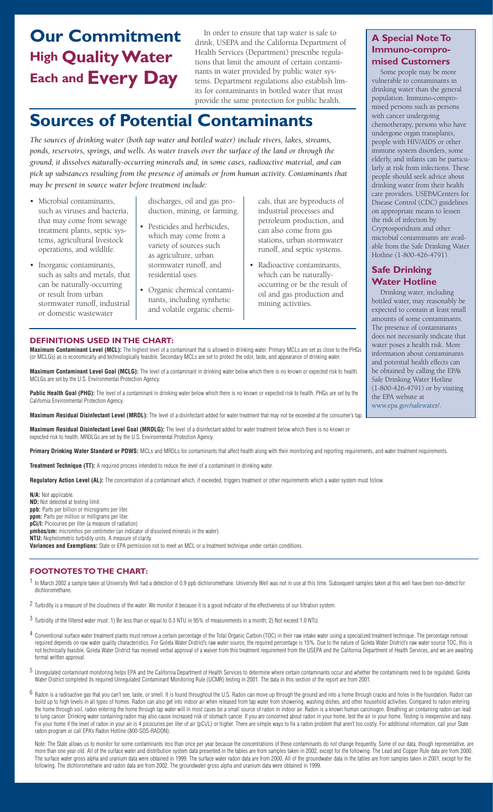## **Our Commitment High Quality Water Each and Every Day**

In order to ensure that tap water is safe to drink, USEPA and the California Department of Health Services (Department) prescribe regulations that limit the amount of certain contaminants in water provided by public water systems. Department regulations also establish limits for contaminants in bottled water that must provide the same protection for public health.

## **Sources of Potential Contaminants**

*The sources of drinking water (both tap water and bottled water) include rivers, lakes, streams, ponds, reservoirs, springs, and wells. As water travels over the surface of the land or through the ground, it dissolves naturally-occurring minerals and, in some cases, radioactive material, and can pick up substances resulting from the presence of animals or from human activity. Contaminants that may be present in source water before treatment include:*

- Microbial contaminants, such as viruses and bacteria, that may come from sewage treatment plants, septic systems, agricultural livestock operations, and wildlife.
- Inorganic contaminants, such as salts and metals, that can be naturally-occurring or result from urban stormwater runoff, industrial or domestic wastewater

discharges, oil and gas production, mining, or farming.

- Pesticides and herbicides, which may come from a variety of sources such as agriculture, urban stormwater runoff, and residential uses.
- Organic chemical contaminants, including synthetic and volatile organic chemi-

cals, that are byproducts of industrial processes and petroleum production, and can also come from gas stations, urban stormwater runoff, and septic systems.

• Radioactive contaminants, which can be naturallyoccurring or be the result of oil and gas production and mining activities.

### **A Special Note To Immuno-compro-**

**mised Customers** Some people may be more vulnerable to contaminants in drinking water than the general population. Immuno-compromised persons such as persons with cancer undergoing chemotherapy, persons who have undergone organ transplants, people with HIV/AIDS or other immune system disorders, some elderly, and infants can be particularly at risk from infections. These people should seek advice about drinking water from their health care providers. USEPA/Centers for Disease Control (CDC) guidelines on appropriate means to lessen the risk of infection by Cryptosporidium and other microbial contaminants are available from the Safe Drinking Water Hotline (1-800-426-4791).

#### **Safe Drinking Water Hotline**

Drinking water, including bottled water, may reasonably be expected to contain at least small amounts of some contaminants. The presence of contaminants does not necessarily indicate that water poses a health risk. More information about contaminants and potential health effects can be obtained by calling the EPA's Safe Drinking Water Hotline (1-800-426-4791) or by visiting the EPA website at www.epa.gov/safewater/.

#### **DEFINITIONS USED IN THE CHART:**

**Maximum Contaminant Level (MCL):** The highest level of a contaminant that is allowed in drinking water. Primary MCLs are set as close to the PHGs (or MCLGs) as is economically and technologically feasible. Secondary MCLs are set to protect the odor, taste, and appearance of drinking water.

**Maximum Contaminant Level Goal (MCLG):** The level of a contaminant in drinking water below which there is no known or expected risk to health. MCLGs are set by the U.S. Environmental Protection Agency.

**Public Health Goal (PHG):** The level of a contaminant in drinking water below which there is no known or expected risk to health. PHGs are set by the California Environmental Protection Agency.

**Maximum Residual Disinfectant Level (MRDL):** The level of a disinfectant added for water treatment that may not be exceeded at the consumer's tap.

**Maximum Residual Disinfectant Level Goal (MRDLG):** The level of a disinfectant added for water treatment below which there is no known or expected risk to health. MRDLGs are set by the U.S. Environmental Protection Agency.

Primary Drinking Water Standard or PDWS: MCLs and MRDLs for contaminants that affect health along with their monitoring and reporting requirements, and water treatment requirements.

**Treatment Technique (TT):** A required process intended to reduce the level of a contaminant in drinking water.

**Regulatory Action Level (AL):** The concentration of a contaminant which, if exceeded, triggers treatment or other requirements which a water system must follow.

**N/A:** Not applicable. **ND:** Not detected at testing limit. **ppb:** Parts per billion or micrograms per liter. **ppm:** Parts per million or milligrams per liter. **pCi/l:** Picocuries per liter (a measure of radiation) **µmhos/cm:** micromhos per centimeter (an indicator of dissolved minerals in the water). **NTU:** Nephelometric turbidity units. A measure of clarity. **Variances and Exemptions:** State or EPA permission not to meet an MCL or a treatment technique under certain conditions.

#### **FOOTNOTES TO THE CHART:**

1 In March 2002 a sample taken at University Well had a detection of 0.9 ppb dichloromethane. University Well was not in use at this time. Subsequent samples taken at this well have been non-detect for dichloromethane.

- $2$  Turbidity is a measure of the cloudiness of the water. We monitor it because it is a good indicator of the effectiveness of our filtration system.
- 3 Turbidity of the filtered water must: 1) Be less than or equal to 0.3 NTU in 95% of measurements in a month; 2) Not exceed 1.0 NTU.
- <sup>4</sup> Conventional surface water treatment plants must remove a certain percentage of the Total Organic Carbon (TOC) in their raw intake water using a specialized treatment technique. The percentage removal required depends on raw water quality characteristics. For Goleta Water District's raw water source, the required percentage is 15%. Due to the nature of Goleta Water District's raw water source TOC, this is not technically feasible. Goleta Water District has received verbal approval of a waiver from this treatment requirement from the USEPA and the California Department of Health Services, and we are awaiting formal written approval.
- 5 Unregulated contaminant monitoring helps EPA and the California Department of Health Services to determine where certain contaminants occur and whether the contaminants need to be regulated. Goleta Water District completed its required Unregulated Contaminant Monitoring Rule (UCMR) testing in 2001. The data in this section of the report are from 2001.
- $6$  Radon is a radioactive gas that you can't see, taste, or smell. It is found throughout the U.S. Radon can move up through the ground and into a home through cracks and holes in the foundation. Radon can build up to high levels in all types of homes. Radon can also get into indoor air when released from tap water from showering, washing dishes, and other household activities. Compared to radon entering the home through soil, radon entering the home through tap water will in most cases be a small source of radon in indoor air. Radon is a known human carcinogen. Breathing air containing radon can lead to lung cancer. Drinking water containing radon may also cause increased risk of stomach cancer. If you are concerned about radon in your home, test the air in your home. Testing is inexpensive and easy. Fix your home if the level of radon in your air is 4 picocuries per liter of air (pCi/L) or higher. There are simple ways to fix a radon problem that aren't too costly. For additional information, call your State radon program or call EPA's Radon Hotline (800-SOS-RADON).

Note: The State allows us to monitor for some contaminants less than once per year because the concentrations of these contaminants do not change frequently. Some of our data, though representative, are more than one year old. All of the surface water and distribution system data presented in the tables are from samples taken in 2002, except for the following. The Lead and Copper Rule data are from 2000. The surface water gross alpha and uranium data were obtained in 1999. The surface water radon data are from 2000. All of the groundwater data in the tables are from samples taken in 2001, except for the following. The dichloromethane and radon data are from 2002. The groundwater gross alpha and uranium data were obtained in 1999.